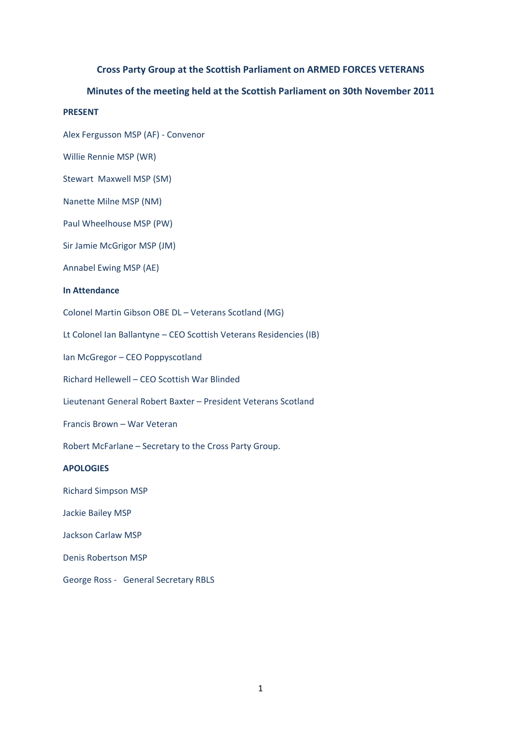# **Cross Party Group at the Scottish Parliament on ARMED FORCES VETERANS**

## **Minutes of the meeting held at the Scottish Parliament on 30th November 2011**

# **PRESENT**

Alex Fergusson MSP (AF) ‐ Convenor

Willie Rennie MSP (WR)

Stewart Maxwell MSP (SM)

Nanette Milne MSP (NM)

Paul Wheelhouse MSP (PW)

Sir Jamie McGrigor MSP (JM)

Annabel Ewing MSP (AE)

### **In Attendance**

Colonel Martin Gibson OBE DL – Veterans Scotland (MG)

Lt Colonel Ian Ballantyne – CEO Scottish Veterans Residencies (IB)

Ian McGregor – CEO Poppyscotland

Richard Hellewell – CEO Scottish War Blinded

Lieutenant General Robert Baxter – President Veterans Scotland

Francis Brown – War Veteran

Robert McFarlane – Secretary to the Cross Party Group.

# **APOLOGIES**

Richard Simpson MSP

Jackie Bailey MSP

Jackson Carlaw MSP

Denis Robertson MSP

George Ross - General Secretary RBLS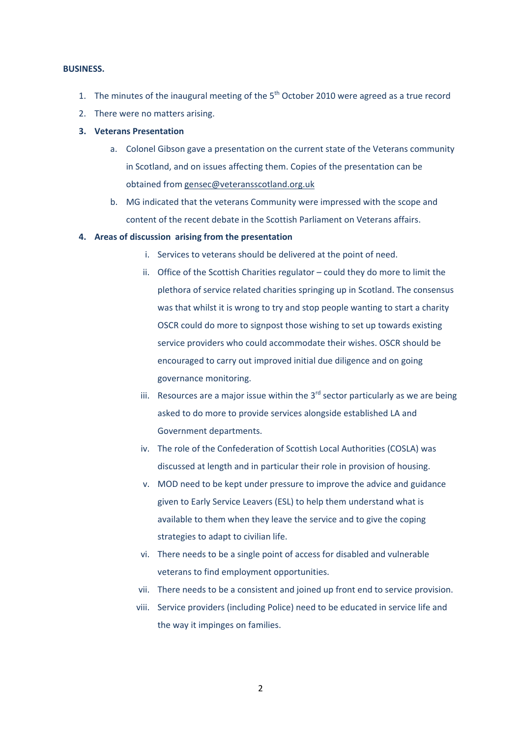### **BUSINESS.**

- 1. The minutes of the inaugural meeting of the  $5<sup>th</sup>$  October 2010 were agreed as a true record
- 2. There were no matters arising.

## **3. Veterans Presentation**

- a. Colonel Gibson gave a presentation on the current state of the Veterans community in Scotland, and on issues affecting them. Copies of the presentation can be obtained from gensec@veteransscotland.org.uk
- b. MG indicated that the veterans Community were impressed with the scope and content of the recent debate in the Scottish Parliament on Veterans affairs.

### **4. Areas of discussion arising from the presentation**

- i. Services to veterans should be delivered at the point of need.
- ii. Office of the Scottish Charities regulator could they do more to limit the plethora of service related charities springing up in Scotland. The consensus was that whilst it is wrong to try and stop people wanting to start a charity OSCR could do more to signpost those wishing to set up towards existing service providers who could accommodate their wishes. OSCR should be encouraged to carry out improved initial due diligence and on going governance monitoring.
- iii. Resources are a major issue within the  $3<sup>rd</sup>$  sector particularly as we are being asked to do more to provide services alongside established LA and Government departments.
- iv. The role of the Confederation of Scottish Local Authorities (COSLA) was discussed at length and in particular their role in provision of housing.
- v. MOD need to be kept under pressure to improve the advice and guidance given to Early Service Leavers (ESL) to help them understand what is available to them when they leave the service and to give the coping strategies to adapt to civilian life.
- vi. There needs to be a single point of access for disabled and vulnerable veterans to find employment opportunities.
- vii. There needs to be a consistent and joined up front end to service provision.
- viii. Service providers (including Police) need to be educated in service life and the way it impinges on families.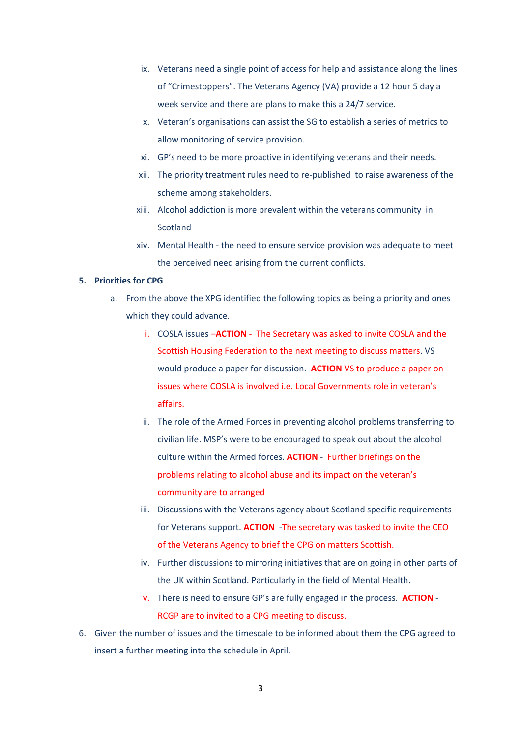- ix. Veterans need a single point of access for help and assistance along the lines of "Crimestoppers". The Veterans Agency (VA) provide a 12 hour 5 day a week service and there are plans to make this a 24/7 service.
- x. Veteran's organisations can assist the SG to establish a series of metrics to allow monitoring of service provision.
- xi. GP's need to be more proactive in identifying veterans and their needs.
- xii. The priority treatment rules need to re‐published to raise awareness of the scheme among stakeholders.
- xiii. Alcohol addiction is more prevalent within the veterans community in Scotland
- xiv. Mental Health ‐ the need to ensure service provision was adequate to meet the perceived need arising from the current conflicts.

### **5. Priorities for CPG**

- a. From the above the XPG identified the following topics as being a priority and ones which they could advance.
	- i. COSLA issues –**ACTION** ‐ The Secretary was asked to invite COSLA and the Scottish Housing Federation to the next meeting to discuss matters. VS would produce a paper for discussion. **ACTION** VS to produce a paper on issues where COSLA is involved i.e. Local Governments role in veteran's affairs.
	- ii. The role of the Armed Forces in preventing alcohol problems transferring to civilian life. MSP's were to be encouraged to speak out about the alcohol culture within the Armed forces. **ACTION** ‐ Further briefings on the problems relating to alcohol abuse and its impact on the veteran's community are to arranged
	- iii. Discussions with the Veterans agency about Scotland specific requirements for Veterans support. **ACTION** -The secretary was tasked to invite the CEO of the Veterans Agency to brief the CPG on matters Scottish.
	- iv. Further discussions to mirroring initiatives that are on going in other parts of the UK within Scotland. Particularly in the field of Mental Health.
	- v. There is need to ensure GP's are fully engaged in the process. **ACTION** ‐ RCGP are to invited to a CPG meeting to discuss.
- 6. Given the number of issues and the timescale to be informed about them the CPG agreed to insert a further meeting into the schedule in April.